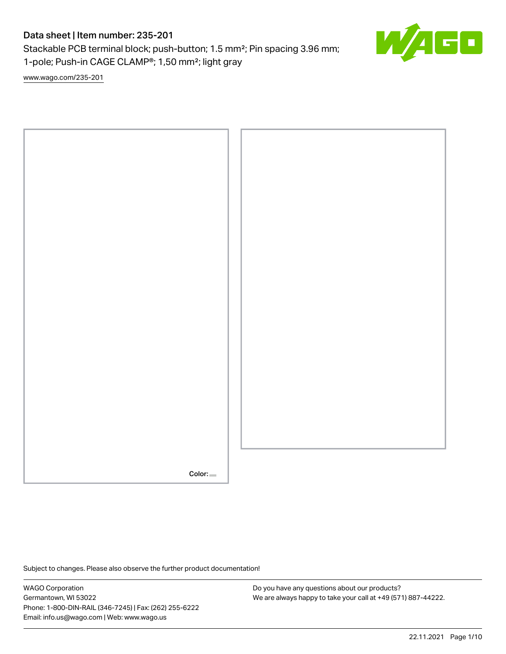# Data sheet | Item number: 235-201

Stackable PCB terminal block; push-button; 1.5 mm²; Pin spacing 3.96 mm; 1-pole; Push-in CAGE CLAMP®; 1,50 mm²; light gray

[www.wago.com/235-201](http://www.wago.com/235-201)



Subject to changes. Please also observe the further product documentation!

WAGO Corporation Germantown, WI 53022 Phone: 1-800-DIN-RAIL (346-7245) | Fax: (262) 255-6222 Email: info.us@wago.com | Web: www.wago.us

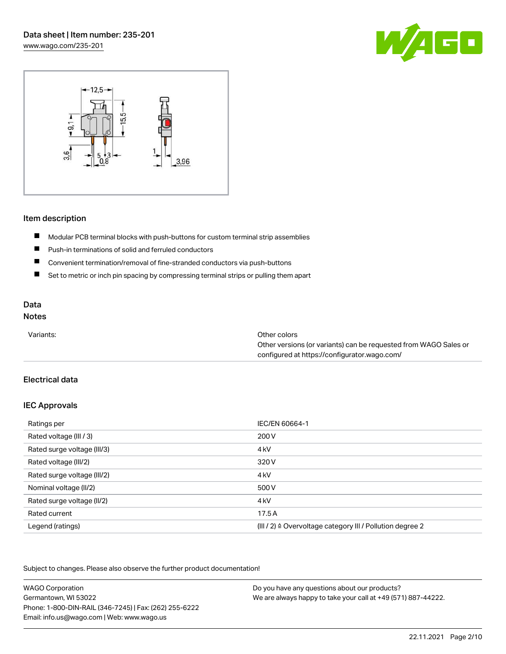



## Item description

- $\blacksquare$ Modular PCB terminal blocks with push-buttons for custom terminal strip assemblies
- $\blacksquare$ Push-in terminations of solid and ferruled conductors
- $\blacksquare$ Convenient termination/removal of fine-stranded conductors via push-buttons
- $\blacksquare$ Set to metric or inch pin spacing by compressing terminal strips or pulling them apart

# Data

# Notes

| Variants: | Other colors                                                     |
|-----------|------------------------------------------------------------------|
|           | Other versions (or variants) can be requested from WAGO Sales or |
|           | configured at https://configurator.wago.com/                     |

# Electrical data

#### IEC Approvals

| Ratings per                 | IEC/EN 60664-1                                                       |
|-----------------------------|----------------------------------------------------------------------|
| Rated voltage (III / 3)     | 200 V                                                                |
| Rated surge voltage (III/3) | 4 <sub>kV</sub>                                                      |
| Rated voltage (III/2)       | 320 V                                                                |
| Rated surge voltage (III/2) | 4 <sub>k</sub> V                                                     |
| Nominal voltage (II/2)      | 500 V                                                                |
| Rated surge voltage (II/2)  | 4 <sub>k</sub> V                                                     |
| Rated current               | 17.5A                                                                |
| Legend (ratings)            | (III / 2) $\triangleq$ Overvoltage category III / Pollution degree 2 |

Subject to changes. Please also observe the further product documentation!

| <b>WAGO Corporation</b>                                | Do you have any questions about our products?                 |
|--------------------------------------------------------|---------------------------------------------------------------|
| Germantown, WI 53022                                   | We are always happy to take your call at +49 (571) 887-44222. |
| Phone: 1-800-DIN-RAIL (346-7245)   Fax: (262) 255-6222 |                                                               |
| Email: info.us@wago.com   Web: www.wago.us             |                                                               |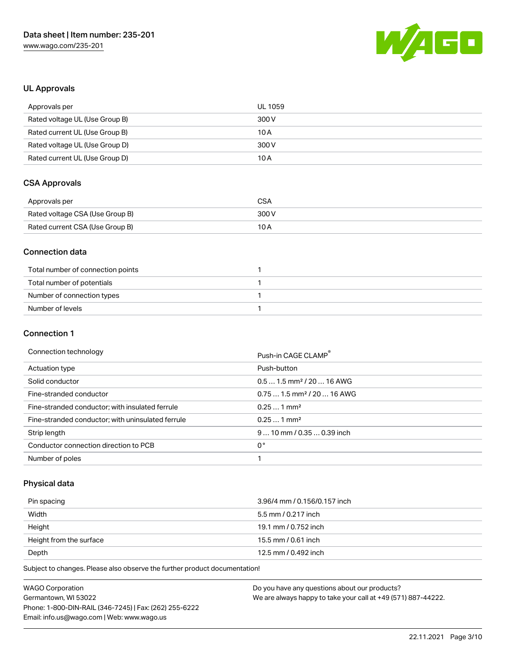

# UL Approvals

| Approvals per                  | UL 1059 |
|--------------------------------|---------|
| Rated voltage UL (Use Group B) | 300 V   |
| Rated current UL (Use Group B) | 10 A    |
| Rated voltage UL (Use Group D) | 300 V   |
| Rated current UL (Use Group D) | 10 A    |

# CSA Approvals

| Approvals per                   | CSA   |
|---------------------------------|-------|
| Rated voltage CSA (Use Group B) | 300 V |
| Rated current CSA (Use Group B) | 10 A  |

## Connection data

| Total number of connection points |  |
|-----------------------------------|--|
| Total number of potentials        |  |
| Number of connection types        |  |
| Number of levels                  |  |

#### Connection 1

#### Connection technology example and the connection of the connection of the connection of the connection of the connection of the connection of the connection of the connection of the connection of the connection of the conn

|                                                   | PUSH-III UAUE ULAIVIP                  |
|---------------------------------------------------|----------------------------------------|
| Actuation type                                    | Push-button                            |
| Solid conductor                                   | $0.51.5$ mm <sup>2</sup> / 20  16 AWG  |
| Fine-stranded conductor                           | $0.751.5$ mm <sup>2</sup> / 20  16 AWG |
| Fine-stranded conductor; with insulated ferrule   | $0.251$ mm <sup>2</sup>                |
| Fine-stranded conductor; with uninsulated ferrule | $0.251$ mm <sup>2</sup>                |
| Strip length                                      | $910$ mm / 0.35  0.39 inch             |
| Conductor connection direction to PCB             | 0°                                     |
| Number of poles                                   |                                        |

# Physical data

| Pin spacing             | 3.96/4 mm / 0.156/0.157 inch |
|-------------------------|------------------------------|
| Width                   | 5.5 mm / 0.217 inch          |
| Height                  | 19.1 mm / 0.752 inch         |
| Height from the surface | 15.5 mm / 0.61 inch          |
| Depth                   | 12.5 mm / 0.492 inch         |

Subject to changes. Please also observe the further product documentation!

| <b>WAGO Corporation</b>                                | Do you have any questions about our products?                 |
|--------------------------------------------------------|---------------------------------------------------------------|
| Germantown, WI 53022                                   | We are always happy to take your call at +49 (571) 887-44222. |
| Phone: 1-800-DIN-RAIL (346-7245)   Fax: (262) 255-6222 |                                                               |
| Email: info.us@wago.com   Web: www.wago.us             |                                                               |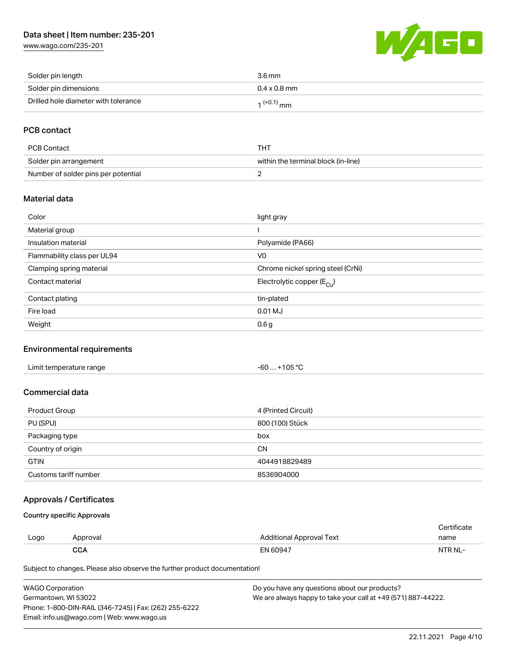# Data sheet | Item number: 235-201

[www.wago.com/235-201](http://www.wago.com/235-201)



| Solder pin length                    | 3.6 mm              |
|--------------------------------------|---------------------|
| Solder pin dimensions                | $0.4 \times 0.8$ mm |
| Drilled hole diameter with tolerance | $1^{(+0.1)}$ mm     |

# PCB contact

| PCB Contact                         | THT                                 |
|-------------------------------------|-------------------------------------|
| Solder pin arrangement              | within the terminal block (in-line) |
| Number of solder pins per potential |                                     |

#### Material data

| Color                       | light gray                            |
|-----------------------------|---------------------------------------|
| Material group              |                                       |
| Insulation material         | Polyamide (PA66)                      |
| Flammability class per UL94 | V <sub>0</sub>                        |
| Clamping spring material    | Chrome nickel spring steel (CrNi)     |
| Contact material            | Electrolytic copper $(E_{\text{Cu}})$ |
| Contact plating             | tin-plated                            |
| Fire load                   | 0.01 MJ                               |
| Weight                      | 0.6 <sub>g</sub>                      |

# Environmental requirements

## Commercial data

| Product Group         | 4 (Printed Circuit) |
|-----------------------|---------------------|
| PU (SPU)              | 800 (100) Stück     |
| Packaging type        | box                 |
| Country of origin     | <b>CN</b>           |
| <b>GTIN</b>           | 4044918829489       |
| Customs tariff number | 8536904000          |

# Approvals / Certificates

Country specific Approvals

| Logo | Approval   | Additional Approval Text | name    |
|------|------------|--------------------------|---------|
|      | <b>CCA</b> | EN 60947                 | NTR NL- |

Subject to changes. Please also observe the further product documentation!

| <b>WAGO Corporation</b>                                | Do you have any questions about our products?                 |
|--------------------------------------------------------|---------------------------------------------------------------|
| Germantown, WI 53022                                   | We are always happy to take your call at +49 (571) 887-44222. |
| Phone: 1-800-DIN-RAIL (346-7245)   Fax: (262) 255-6222 |                                                               |
| Email: info.us@wago.com   Web: www.wago.us             |                                                               |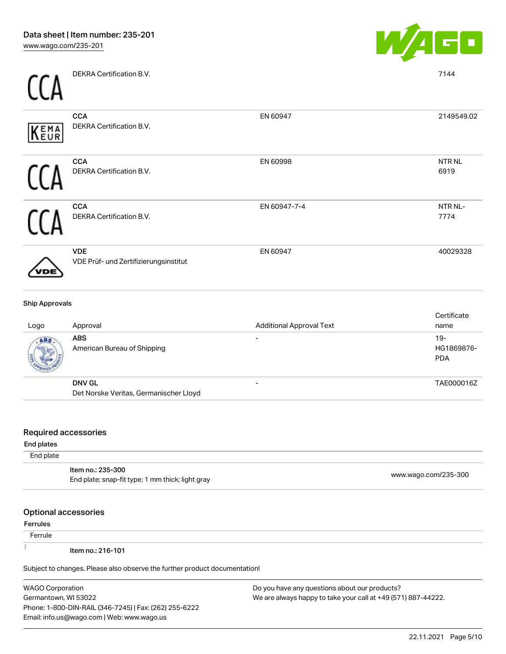|--|

| $\sqrt{AB}$           | <b>ARS</b>                                          | $\sim$                          | $19 -$               |
|-----------------------|-----------------------------------------------------|---------------------------------|----------------------|
| Logo                  | Approval                                            | <b>Additional Approval Text</b> | Certificate<br>name  |
| <b>Ship Approvals</b> |                                                     |                                 |                      |
| 'DE                   | <b>VDE</b><br>VDE Prüf- und Zertifizierungsinstitut | EN 60947                        | 40029328             |
|                       | <b>CCA</b><br>DEKRA Certification B.V.              | EN 60947-7-4                    | NTR NL-<br>7774      |
|                       | <b>CCA</b><br>DEKRA Certification B.V.              | EN 60998                        | <b>NTRNL</b><br>6919 |
| KEMA                  | <b>CCA</b><br>DEKRA Certification B.V.              | EN 60947                        | 2149549.02           |
|                       | DEKRA Certification B.V.                            |                                 | 7144                 |

| - ت |                                                         | . |                                   |
|-----|---------------------------------------------------------|---|-----------------------------------|
|     | <b>ABS</b><br>American Bureau of Shipping               |   | $19-$<br>HG1869876-<br><b>PDA</b> |
|     | <b>DNV GL</b><br>Det Norske Veritas, Germanischer Lloyd |   | TAE000016Z                        |

#### Required accessories

#### End plates

#### End plate

| ltem no.: 235-300<br>End plate; snap-fit type; 1 mm thick; light gray | www.wago.com/235-300 |
|-----------------------------------------------------------------------|----------------------|

# Optional accessories

## Ferrules

**Ferrule** 

 $\tilde{\mathbb{R}}$ 

Item no.: 216-101

Subject to changes. Please also observe the further product documentation!

WAGO Corporation Germantown, WI 53022 Phone: 1-800-DIN-RAIL (346-7245) | Fax: (262) 255-6222 Email: info.us@wago.com | Web: www.wago.us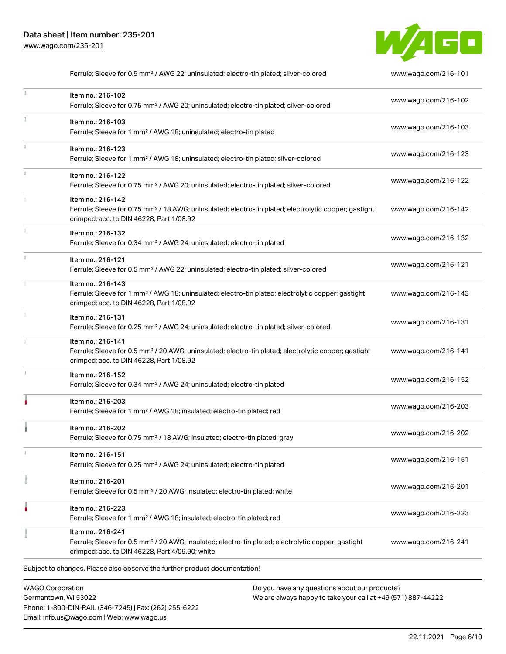

| Ferrule; Sleeve for 0.5 mm <sup>2</sup> / AWG 22; uninsulated; electro-tin plated; silver-colored                                                                                      | www.wago.com/216-101 |
|----------------------------------------------------------------------------------------------------------------------------------------------------------------------------------------|----------------------|
| Item no.: 216-102<br>Ferrule; Sleeve for 0.75 mm <sup>2</sup> / AWG 20; uninsulated; electro-tin plated; silver-colored                                                                | www.wago.com/216-102 |
| Item no.: 216-103<br>Ferrule; Sleeve for 1 mm <sup>2</sup> / AWG 18; uninsulated; electro-tin plated                                                                                   | www.wago.com/216-103 |
| Item no.: 216-123<br>Ferrule; Sleeve for 1 mm <sup>2</sup> / AWG 18; uninsulated; electro-tin plated; silver-colored                                                                   | www.wago.com/216-123 |
| Item no.: 216-122<br>Ferrule; Sleeve for 0.75 mm <sup>2</sup> / AWG 20; uninsulated; electro-tin plated; silver-colored                                                                | www.wago.com/216-122 |
| Item no.: 216-142<br>Ferrule; Sleeve for 0.75 mm <sup>2</sup> / 18 AWG; uninsulated; electro-tin plated; electrolytic copper; gastight<br>crimped; acc. to DIN 46228, Part 1/08.92     | www.wago.com/216-142 |
| Item no.: 216-132<br>Ferrule; Sleeve for 0.34 mm <sup>2</sup> / AWG 24; uninsulated; electro-tin plated                                                                                | www.wago.com/216-132 |
| Item no.: 216-121<br>Ferrule; Sleeve for 0.5 mm <sup>2</sup> / AWG 22; uninsulated; electro-tin plated; silver-colored                                                                 | www.wago.com/216-121 |
| Item no.: 216-143<br>Ferrule; Sleeve for 1 mm <sup>2</sup> / AWG 18; uninsulated; electro-tin plated; electrolytic copper; gastight<br>crimped; acc. to DIN 46228, Part 1/08.92        | www.wago.com/216-143 |
| Item no.: 216-131<br>Ferrule; Sleeve for 0.25 mm <sup>2</sup> / AWG 24; uninsulated; electro-tin plated; silver-colored                                                                | www.wago.com/216-131 |
| Item no.: 216-141<br>Ferrule; Sleeve for 0.5 mm <sup>2</sup> / 20 AWG; uninsulated; electro-tin plated; electrolytic copper; gastight<br>crimped; acc. to DIN 46228, Part 1/08.92      | www.wago.com/216-141 |
| Item no.: 216-152<br>Ferrule; Sleeve for 0.34 mm <sup>2</sup> / AWG 24; uninsulated; electro-tin plated                                                                                | www.wago.com/216-152 |
| Item no.: 216-203<br>Ferrule; Sleeve for 1 mm <sup>2</sup> / AWG 18; insulated; electro-tin plated; red                                                                                | www.wago.com/216-203 |
| Item no.: 216-202<br>Ferrule; Sleeve for 0.75 mm <sup>2</sup> / 18 AWG; insulated; electro-tin plated; gray                                                                            | www.wago.com/216-202 |
| Item no.: 216-151<br>Ferrule; Sleeve for 0.25 mm <sup>2</sup> / AWG 24; uninsulated; electro-tin plated                                                                                | www.wago.com/216-151 |
| Item no.: 216-201<br>Ferrule; Sleeve for 0.5 mm <sup>2</sup> / 20 AWG; insulated; electro-tin plated; white                                                                            | www.wago.com/216-201 |
| Item no.: 216-223<br>Ferrule; Sleeve for 1 mm <sup>2</sup> / AWG 18; insulated; electro-tin plated; red                                                                                | www.wago.com/216-223 |
| Item no.: 216-241<br>Ferrule; Sleeve for 0.5 mm <sup>2</sup> / 20 AWG; insulated; electro-tin plated; electrolytic copper; gastight<br>crimped; acc. to DIN 46228, Part 4/09.90; white | www.wago.com/216-241 |
| Subject to changes. Please also observe the further product documentation!                                                                                                             |                      |
|                                                                                                                                                                                        |                      |

WAGO Corporation Germantown, WI 53022 Phone: 1-800-DIN-RAIL (346-7245) | Fax: (262) 255-6222 Email: info.us@wago.com | Web: www.wago.us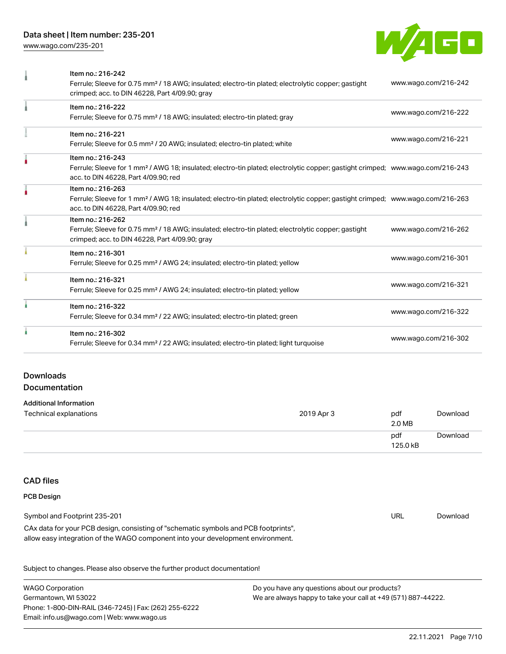# Data sheet | Item number: 235-201

[www.wago.com/235-201](http://www.wago.com/235-201)



| Item no.: 216-242<br>Ferrule; Sleeve for 0.75 mm <sup>2</sup> / 18 AWG; insulated; electro-tin plated; electrolytic copper; gastight<br>crimped; acc. to DIN 46228, Part 4/09.90; gray                  | www.wago.com/216-242 |
|---------------------------------------------------------------------------------------------------------------------------------------------------------------------------------------------------------|----------------------|
| Item no.: 216-222<br>Ferrule; Sleeve for 0.75 mm <sup>2</sup> / 18 AWG; insulated; electro-tin plated; gray                                                                                             | www.wago.com/216-222 |
| Item no.: 216-221<br>Ferrule; Sleeve for 0.5 mm <sup>2</sup> / 20 AWG; insulated; electro-tin plated; white                                                                                             | www.wago.com/216-221 |
| Item no.: 216-243<br>Ferrule; Sleeve for 1 mm <sup>2</sup> / AWG 18; insulated; electro-tin plated; electrolytic copper; gastight crimped; www.wago.com/216-243<br>acc. to DIN 46228, Part 4/09.90; red |                      |
| Item no.: 216-263<br>Ferrule; Sleeve for 1 mm <sup>2</sup> / AWG 18; insulated; electro-tin plated; electrolytic copper; gastight crimped; www.wago.com/216-263<br>acc. to DIN 46228, Part 4/09.90; red |                      |
| Item no.: 216-262<br>Ferrule; Sleeve for 0.75 mm <sup>2</sup> / 18 AWG; insulated; electro-tin plated; electrolytic copper; gastight<br>crimped; acc. to DIN 46228, Part 4/09.90; gray                  | www.wago.com/216-262 |
| Item no.: 216-301<br>Ferrule; Sleeve for 0.25 mm <sup>2</sup> / AWG 24; insulated; electro-tin plated; yellow                                                                                           | www.wago.com/216-301 |
| Item no.: 216-321<br>Ferrule; Sleeve for 0.25 mm <sup>2</sup> / AWG 24; insulated; electro-tin plated; yellow                                                                                           | www.wago.com/216-321 |
| Item no.: 216-322<br>Ferrule; Sleeve for 0.34 mm <sup>2</sup> / 22 AWG; insulated; electro-tin plated; green                                                                                            | www.wago.com/216-322 |
| Item no.: 216-302<br>Ferrule; Sleeve for 0.34 mm <sup>2</sup> / 22 AWG; insulated; electro-tin plated; light turquoise                                                                                  | www.wago.com/216-302 |

## Downloads **Documentation**

#### Additional Information

| Technical explanations | 2019 Apr 3 | pdf<br>2.0 MB   | Download |
|------------------------|------------|-----------------|----------|
|                        |            | pdf<br>125.0 kB | Download |

# CAD files

#### PCB Design

| Symbol and Footprint 235-201                                                        | URL | Download |
|-------------------------------------------------------------------------------------|-----|----------|
| CAx data for your PCB design, consisting of "schematic symbols and PCB footprints", |     |          |
| allow easy integration of the WAGO component into your development environment.     |     |          |

Subject to changes. Please also observe the further product documentation!

WAGO Corporation Germantown, WI 53022 Phone: 1-800-DIN-RAIL (346-7245) | Fax: (262) 255-6222 Email: info.us@wago.com | Web: www.wago.us Do you have any questions about our products? We are always happy to take your call at +49 (571) 887-44222.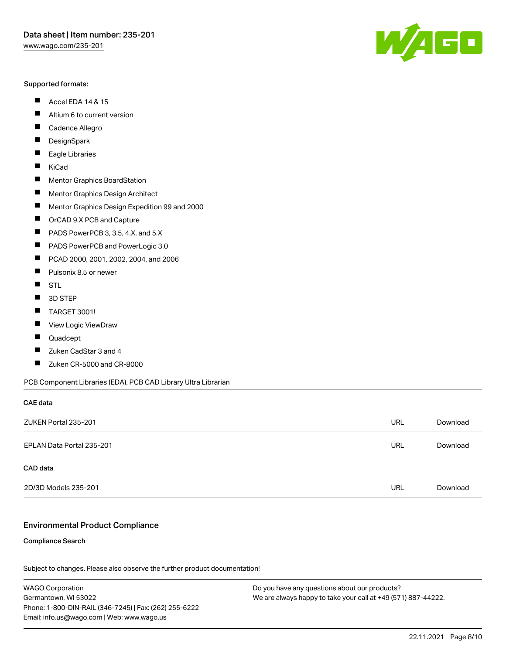#### Supported formats:

- $\blacksquare$ Accel EDA 14 & 15
- П Altium 6 to current version
- $\blacksquare$ Cadence Allegro
- $\blacksquare$ **DesignSpark**
- $\blacksquare$ Eagle Libraries
- $\blacksquare$ KiCad
- $\blacksquare$ Mentor Graphics BoardStation
- $\blacksquare$ Mentor Graphics Design Architect
- $\blacksquare$ Mentor Graphics Design Expedition 99 and 2000
- $\blacksquare$ OrCAD 9.X PCB and Capture
- $\blacksquare$ PADS PowerPCB 3, 3.5, 4.X, and 5.X
- $\blacksquare$ PADS PowerPCB and PowerLogic 3.0
- $\blacksquare$ PCAD 2000, 2001, 2002, 2004, and 2006
- $\blacksquare$ Pulsonix 8.5 or newer
- $\blacksquare$ STL
- П 3D STEP
- П TARGET 3001!
- $\blacksquare$ View Logic ViewDraw
- П Quadcept
- $\blacksquare$ Zuken CadStar 3 and 4
- Zuken CR-5000 and CR-8000 П

PCB Component Libraries (EDA), PCB CAD Library Ultra Librarian

# CAE data ZUKEN Portal 235-201 URL [Download](https://www.wago.com/global/d/Zuken_URLS_235-201) EPLAN Data Portal 235-201 URL [Download](https://www.wago.com/global/d/EPLAN_URLS_235-201) CAD data

2D/3D Models 235-201 URL [Download](https://www.wago.com/global/d/3D_URLS_235-201)

#### Environmental Product Compliance

#### Compliance Search

Subject to changes. Please also observe the further product documentation!

WAGO Corporation Germantown, WI 53022 Phone: 1-800-DIN-RAIL (346-7245) | Fax: (262) 255-6222 Email: info.us@wago.com | Web: www.wago.us

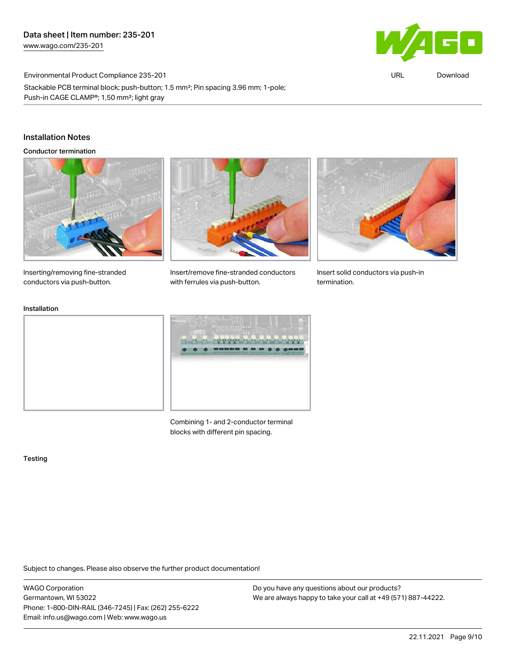

URL [Download](https://www.wago.com/global/d/ComplianceLinkMediaContainer_235-201)

Environmental Product Compliance 235-201 Stackable PCB terminal block; push-button; 1.5 mm²; Pin spacing 3.96 mm; 1-pole; Push-in CAGE CLAMP®; 1,50 mm²; light gray

# Installation Notes

Conductor termination



Inserting/removing fine-stranded conductors via push-button.



Insert/remove fine-stranded conductors with ferrules via push-button.



Insert solid conductors via push-in termination.

#### Installation





Combining 1- and 2-conductor terminal blocks with different pin spacing.

Testing

Subject to changes. Please also observe the further product documentation!

WAGO Corporation Germantown, WI 53022 Phone: 1-800-DIN-RAIL (346-7245) | Fax: (262) 255-6222 Email: info.us@wago.com | Web: www.wago.us